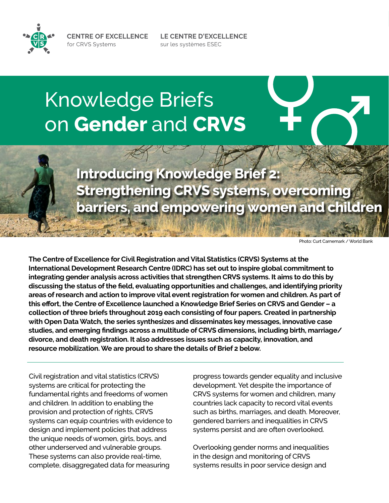**CENTRE OF EXCELLENCE** for CRVS Systems



# Knowledge Briefs on **Gender** and **CRVS**

**Introducing Knowledge Brief 2: Strengthening CRVS systems, overcoming barriers, and empowering women and children**

LE CENTRE D'EXCELLENCE

sur les systèmes ESEC

Photo: Curt Carnemark / World Bank

**The Centre of Excellence for Civil Registration and Vital Statistics (CRVS) Systems at the International Development Research Centre (IDRC) has set out to inspire global commitment to integrating gender analysis across activities that strengthen CRVS systems. It aims to do this by discussing the status of the field, evaluating opportunities and challenges, and identifying priority areas of research and action to improve vital event registration for women and children. As part of this effort, the Centre of Excellence launched a Knowledge Brief Series on CRVS and Gender – a collection of three briefs throughout 2019 each consisting of four papers. Created in partnership with Open Data Watch, the series synthesizes and disseminates key messages, innovative case studies, and emerging findings across a multitude of CRVS dimensions, including birth, marriage/ divorce, and death registration. It also addresses issues such as capacity, innovation, and resource mobilization. We are proud to share the details of Brief 2 below.** 

Civil registration and vital statistics (CRVS) systems are critical for protecting the fundamental rights and freedoms of women and children. In addition to enabling the provision and protection of rights, CRVS systems can equip countries with evidence to design and implement policies that address the unique needs of women, girls, boys, and other underserved and vulnerable groups. These systems can also provide real-time, complete, disaggregated data for measuring

progress towards gender equality and inclusive development. Yet despite the importance of CRVS systems for women and children, many countries lack capacity to record vital events such as births, marriages, and death. Moreover, gendered barriers and inequalities in CRVS systems persist and are often overlooked.

Overlooking gender norms and inequalities in the design and monitoring of CRVS systems results in poor service design and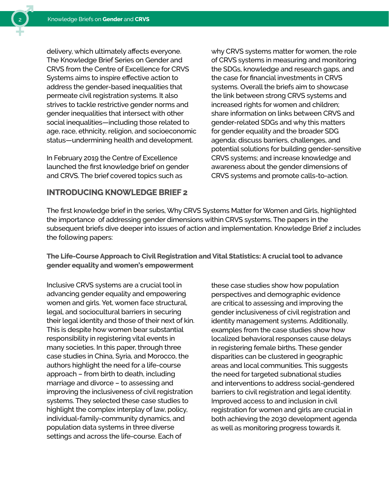delivery, which ultimately affects everyone. The Knowledge Brief Series on Gender and CRVS from the Centre of Excellence for CRVS Systems aims to inspire effective action to address the gender-based inequalities that permeate civil registration systems. It also strives to tackle restrictive gender norms and gender inequalities that intersect with other social inequalities—including those related to age, race, ethnicity, religion, and socioeconomic status—undermining health and development.

In February 2019 the Centre of Excellence launched the first knowledge brief on gender and CRVS. The brief covered topics such as

### **INTRODUCING KNOWLEDGE BRIEF 2**

why CRVS systems matter for women, the role of CRVS systems in measuring and monitoring the SDGs, knowledge and research gaps, and the case for financial investments in CRVS systems. Overall the briefs aim to showcase the link between strong CRVS systems and increased rights for women and children; share information on links between CRVS and gender-related SDGs and why this matters for gender equality and the broader SDG agenda; discuss barriers, challenges, and potential solutions for building gender-sensitive CRVS systems; and increase knowledge and awareness about the gender dimensions of CRVS systems and promote calls-to-action.

The first knowledge brief in the series, Why CRVS Systems Matter for Women and Girls, highlighted the importance of addressing gender dimensions within CRVS systems. The papers in the subsequent briefs dive deeper into issues of action and implementation. Knowledge Brief 2 includes the following papers:

**The Life-Course Approach to Civil Registration and Vital Statistics: A crucial tool to advance gender equality and women's empowerment** 

Inclusive CRVS systems are a crucial tool in advancing gender equality and empowering women and girls. Yet, women face structural, legal, and sociocultural barriers in securing their legal identity and those of their next of kin. This is despite how women bear substantial responsibility in registering vital events in many societies. In this paper, through three case studies in China, Syria, and Morocco, the authors highlight the need for a life-course approach – from birth to death, including marriage and divorce – to assessing and improving the inclusiveness of civil registration systems. They selected these case studies to highlight the complex interplay of law, policy, individual-family-community dynamics, and population data systems in three diverse settings and across the life-course. Each of

these case studies show how population perspectives and demographic evidence are critical to assessing and improving the gender inclusiveness of civil registration and identity management systems. Additionally, examples from the case studies show how localized behavioral responses cause delays in registering female births. These gender disparities can be clustered in geographic areas and local communities. This suggests the need for targeted subnational studies and interventions to address social-gendered barriers to civil registration and legal identity. Improved access to and inclusion in civil registration for women and girls are crucial in both achieving the 2030 development agenda as well as monitoring progress towards it.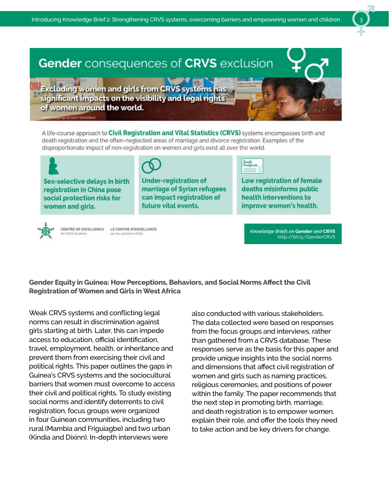# Gender consequences of CRVS exclusion

**Excluding women and girls from CRVS systems** significant impacts on the visibility and legal rights of women around the world.

A life-course approach to Civil Registration and Vital Statistics (CRVS) systems encompasses birth and death registration and the often-neglected areas of marriage and divorce registration. Examples of the disproportionate impact of non-registration on women and girls exist all over the world.

Sex-selective delays in birth registration in China pose social protection risks for women and girls.

**Under-registration of** marriage of Syrian refugees can impact registration of future vital events.

Low registration of female deaths misinforms public health interventions to improve women's health.



CENTRE OF EXCELLENCE LE CENTRE D'EXCELLENCE or CRVS Syster sur les systèmes ESEC

Knowledge Briefs on Gender and CRVS http://bit.ly/GenderCRVS

**Gender Equity in Guinea: How Perceptions, Behaviors, and Social Norms Affect the Civil Registration of Women and Girls in West Africa** 

Weak CRVS systems and conflicting legal norms can result in discrimination against girls starting at birth. Later, this can impede access to education, official identification, travel, employment, health, or inheritance and prevent them from exercising their civil and political rights. This paper outlines the gaps in Guinea's CRVS systems and the sociocultural barriers that women must overcome to access their civil and political rights. To study existing social norms and identify deterrents to civil registration, focus groups were organized in four Guinean communities, including two rural (Mambia and Friguiagbe) and two urban (Kindia and Dixinn). In-depth interviews were

also conducted with various stakeholders. The data collected were based on responses from the focus groups and interviews, rather than gathered from a CRVS database. These responses serve as the basis for this paper and provide unique insights into the social norms and dimensions that affect civil registration of women and girls such as naming practices, religious ceremonies, and positions of power within the family. The paper recommends that the next step in promoting birth, marriage, and death registration is to empower women, explain their role, and offer the tools they need to take action and be key drivers for change.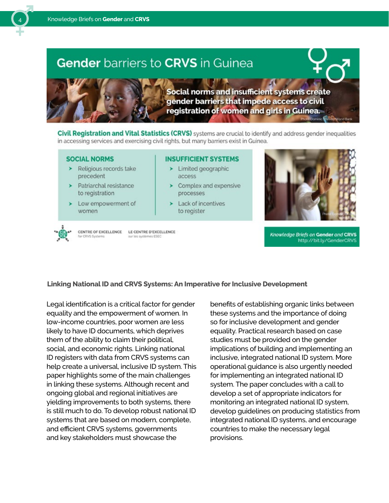## **Gender** barriers to CRVS in Guinea



**Social norms and insufficient systems create** gender barriers that impede access to civil registration of women and girls in Guinea.

Civil Registration and Vital Statistics (CRVS) systems are crucial to identify and address gender inequalities in accessing services and exercising civil rights, but many barriers exist in Guinea.

#### **SOCIAL NORMS**

- $\blacktriangleright$  Religious records take precedent
- > Patriarchal resistance to registration
- $\blacktriangleright$  Low empowerment of women

#### **INSUFFICIENT SYSTEMS**

- $\blacktriangleright$  Limited geographic access
- $\triangleright$  Complex and expensive processes
- $\blacktriangleright$  Lack of incentives to register



CENTRE OF EXCELLENCE LE CENTRE D'EXCELLENCE CRVS Systems sur les systèmes ESEC

#### Knowledge Briefs on Gender and CRVS http://bit.ly/GenderCRVS

#### **Linking National ID and CRVS Systems: An Imperative for Inclusive Development**

Legal identification is a critical factor for gender equality and the empowerment of women. In low-income countries, poor women are less likely to have ID documents, which deprives them of the ability to claim their political, social, and economic rights. Linking national ID registers with data from CRVS systems can help create a universal, inclusive ID system. This paper highlights some of the main challenges in linking these systems. Although recent and ongoing global and regional initiatives are yielding improvements to both systems, there is still much to do. To develop robust national ID systems that are based on modern, complete, and efficient CRVS systems, governments and key stakeholders must showcase the

benefits of establishing organic links between these systems and the importance of doing so for inclusive development and gender equality. Practical research based on case studies must be provided on the gender implications of building and implementing an inclusive, integrated national ID system. More operational guidance is also urgently needed for implementing an integrated national ID system. The paper concludes with a call to develop a set of appropriate indicators for monitoring an integrated national ID system, develop guidelines on producing statistics from integrated national ID systems, and encourage countries to make the necessary legal provisions.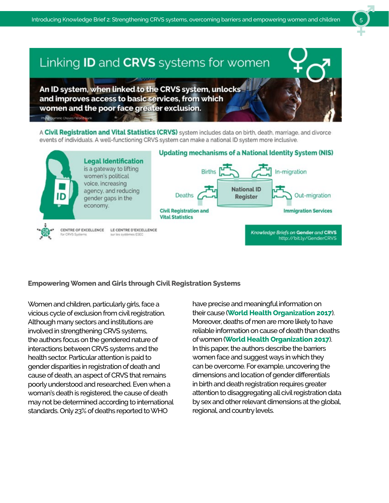# Linking ID and CRVS systems for women

An ID system, when linked to the CRVS system, unlocks and improves access to basic services, from which women and the poor face greater exclusion.

Photo Dominic Chavez/World Bank

A Civil Registration and Vital Statistics (CRVS) system includes data on birth, death, marriage, and divorce events of individuals. A well-functioning CRVS system can make a national ID system more inclusive.



#### **Empowering Women and Girls through Civil Registration Systems**

Women and children, particularly girls, face a vicious cycle of exclusion from civil registration. Although many sectors and institutions are involved in strengthening CRVS systems, the authors focus on the gendered nature of interactions between CRVS systems and the health sector. Particular attention is paid to gender disparities in registration of death and cause of death, an aspect of CRVS that remains poorly understood and researched. Even when a woman's death is registered, the cause of death may not be determined according to international standards. Only 23% of deaths reported to WHO

have precise and meaningful information on their cause (**[World Health Organization 2017](https://www.who.int/gho/publications/world_health_statistics/2017/en/)**). Moreover, deaths of men are more likely to have reliable information on cause of death than deaths of women (**[World Health Organization 2017](https://www.who.int/gho/publications/world_health_statistics/2017/en/)**). In this paper, the authors describe the barriers women face and suggest ways in which they can be overcome. For example, uncovering the dimensions and location of gender differentials in birth and death registration requires greater attention to disaggregating all civil registration data by sex and other relevant dimensions at the global, regional, and country levels.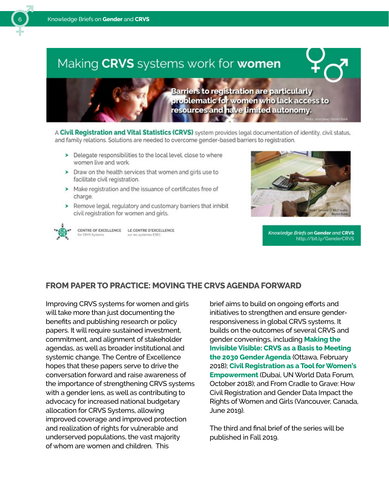# Making CRVS systems work for women

**Barriers to registration are particularly** problematic for women who lack access to resources and have limited autonomy.

A Civil Registration and Vital Statistics (CRVS) system provides legal documentation of identity, civil status, and family relations. Solutions are needed to overcome gender-based barriers to registration.

- > Delegate responsibilities to the local level, close to where women live and work.
- $\triangleright$  Draw on the health services that women and girls use to facilitate civil registration.
- > Make registration and the issuance of certificates free of charge.
- > Remove legal, regulatory and customary barriers that inhibit civil registration for women and girls.



CENTRE OF EXCELLENCE LE CENTRE D'EXCELLENCE sur les systèmes ESEC



Knowledge Briefs on Gender and CRVS http://bit.ly/GenderCRVS

### **FROM PAPER TO PRACTICE: MOVING THE CRVS AGENDA FORWARD**

Improving CRVS systems for women and girls will take more than just documenting the benefits and publishing research or policy papers. It will require sustained investment, commitment, and alignment of stakeholder agendas, as well as broader institutional and systemic change. The Centre of Excellence hopes that these papers serve to drive the conversation forward and raise awareness of the importance of strengthening CRVS systems with a gender lens, as well as contributing to advocacy for increased national budgetary allocation for CRVS Systems, allowing improved coverage and improved protection and realization of rights for vulnerable and underserved populations, the vast majority of whom are women and children. This

brief aims to build on ongoing efforts and initiatives to strengthen and ensure genderresponsiveness in global CRVS systems. It builds on the outcomes of several CRVS and gender convenings, including **[Making the](https://crvssystems.ca/news-and-events/making-invisible-visible-crvs-basis-meeting-2030-gender-agenda)  [Invisible Visible: CRVS as a Basis to Meeting](https://crvssystems.ca/news-and-events/making-invisible-visible-crvs-basis-meeting-2030-gender-agenda)  [the 2030 Gender Agenda](https://crvssystems.ca/news-and-events/making-invisible-visible-crvs-basis-meeting-2030-gender-agenda)** (Ottawa, February 2018); **[Civil Registration as a Tool for Women's](https://crvssystems.ca/news-and-events/civil-registration-tool-womens-empowerment)  [Empowerment](https://crvssystems.ca/news-and-events/civil-registration-tool-womens-empowerment)** (Dubai, UN World Data Forum, October 2018); and From Cradle to Grave: How Civil Registration and Gender Data Impact the Rights of Women and Girls (Vancouver, Canada, June 2019).

The third and final brief of the series will be published in Fall 2019.